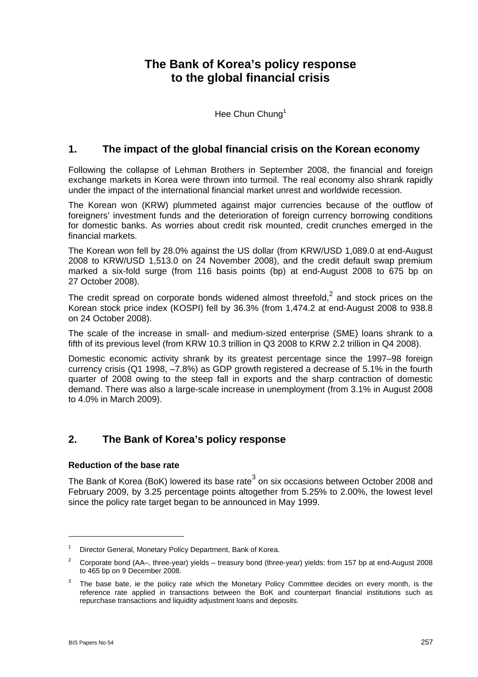# **The Bank of Korea's policy response to the global financial crisis**

Hee Chun Chung<sup>1</sup>

## **1. The impact of the global financial crisis on the Korean economy**

Following the collapse of Lehman Brothers in September 2008, the financial and foreign exchange markets in Korea were thrown into turmoil. The real economy also shrank rapidly under the impact of the international financial market unrest and worldwide recession.

The Korean won (KRW) plummeted against major currencies because of the outflow of foreigners' investment funds and the deterioration of foreign currency borrowing conditions for domestic banks. As worries about credit risk mounted, credit crunches emerged in the financial markets.

The Korean won fell by 28.0% against the US dollar (from KRW/USD 1,089.0 at end-August 2008 to KRW/USD 1,513.0 on 24 November 2008), and the credit default swap premium marked a six-fold surge (from 116 basis points (bp) at end-August 2008 to 675 bp on 27 October 2008).

The credit spread on corporate bonds widened almost threefold,<sup>2</sup> and stock prices on the Korean stock price index (KOSPI) fell by 36.3% (from 1,474.2 at end-August 2008 to 938.8 on 24 October 2008).

The scale of the increase in small- and medium-sized enterprise (SME) loans shrank to a fifth of its previous level (from KRW 10.3 trillion in Q3 2008 to KRW 2.2 trillion in Q4 2008).

Domestic economic activity shrank by its greatest percentage since the 1997–98 foreign currency crisis (Q1 1998, –7.8%) as GDP growth registered a decrease of 5.1% in the fourth quarter of 2008 owing to the steep fall in exports and the sharp contraction of domestic demand. There was also a large-scale increase in unemployment (from 3.1% in August 2008 to 4.0% in March 2009).

## **2. The Bank of Korea's policy response**

### **Reduction of the base rate**

The Bank of Korea (BoK) lowered its base rate<sup>3</sup> on six occasions between October 2008 and February 2009, by 3.25 percentage points altogether from 5.25% to 2.00%, the lowest level since the policy rate target began to be announced in May 1999.

<sup>1</sup> Director General, Monetary Policy Department, Bank of Korea.

<sup>2</sup> Corporate bond (AA–, three-year) yields – treasury bond (three-year) yields: from 157 bp at end-August 2008 to 465 bp on 9 December 2008.

<sup>3</sup> The base bate, ie the policy rate which the Monetary Policy Committee decides on every month, is the reference rate applied in transactions between the BoK and counterpart financial institutions such as repurchase transactions and liquidity adjustment loans and deposits.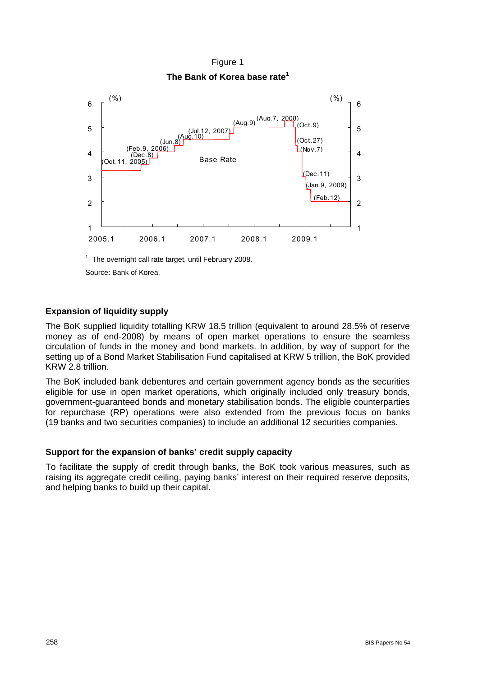

## Figure 1 **The Bank of Korea base rate1**

 $1$  The overnight call rate target, until February 2008.

Source: Bank of Korea.

### **Expansion of liquidity supply**

The BoK supplied liquidity totalling KRW 18.5 trillion (equivalent to around 28.5% of reserve money as of end-2008) by means of open market operations to ensure the seamless circulation of funds in the money and bond markets. In addition, by way of support for the setting up of a Bond Market Stabilisation Fund capitalised at KRW 5 trillion, the BoK provided KRW 2.8 trillion.

The BoK included bank debentures and certain government agency bonds as the securities eligible for use in open market operations, which originally included only treasury bonds, government-guaranteed bonds and monetary stabilisation bonds. The eligible counterparties for repurchase (RP) operations were also extended from the previous focus on banks (19 banks and two securities companies) to include an additional 12 securities companies.

### **Support for the expansion of banks' credit supply capacity**

To facilitate the supply of credit through banks, the BoK took various measures, such as raising its aggregate credit ceiling, paying banks' interest on their required reserve deposits, and helping banks to build up their capital.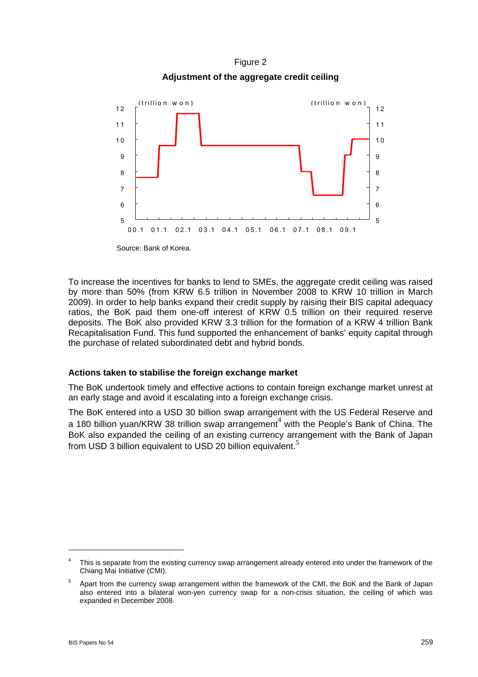Figure 2 **Adjustment of the aggregate credit ceiling** 



Source: Bank of Korea.

To increase the incentives for banks to lend to SMEs, the aggregate credit ceiling was raised by more than 50% (from KRW 6.5 trillion in November 2008 to KRW 10 trillion in March 2009). In order to help banks expand their credit supply by raising their BIS capital adequacy ratios, the BoK paid them one-off interest of KRW 0.5 trillion on their required reserve deposits. The BoK also provided KRW 3.3 trillion for the formation of a KRW 4 trillion Bank Recapitalisation Fund. This fund supported the enhancement of banks' equity capital through the purchase of related subordinated debt and hybrid bonds.

### **Actions taken to stabilise the foreign exchange market**

The BoK undertook timely and effective actions to contain foreign exchange market unrest at an early stage and avoid it escalating into a foreign exchange crisis.

The BoK entered into a USD 30 billion swap arrangement with the US Federal Reserve and a 180 billion yuan/KRW 38 trillion swap arrangement<sup>4</sup> with the People's Bank of China. The BoK also expanded the ceiling of an existing currency arrangement with the Bank of Japan from USD 3 billion equivalent to USD 20 billion equivalent.<sup>5</sup>

 $\overline{a}$ 

<sup>4</sup> This is separate from the existing currency swap arrangement already entered into under the framework of the Chiang Mai Initiative (CMI).

<sup>5</sup> Apart from the currency swap arrangement within the framework of the CMI, the BoK and the Bank of Japan also entered into a bilateral won-yen currency swap for a non-crisis situation, the ceiling of which was expanded in December 2008.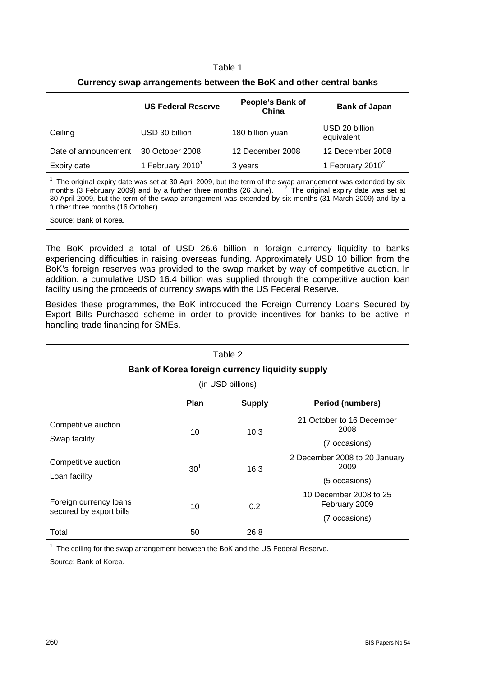#### Table 1

|                      | <b>US Federal Reserve</b>    | People's Bank of<br>China | <b>Bank of Japan</b>         |
|----------------------|------------------------------|---------------------------|------------------------------|
| Ceiling              | USD 30 billion               | 180 billion yuan          | USD 20 billion<br>equivalent |
| Date of announcement | 30 October 2008              | 12 December 2008          | 12 December 2008             |
| Expiry date          | 1 February 2010 <sup>1</sup> | 3 years                   | 1 February 2010 <sup>2</sup> |

 $1$  The original expiry date was set at 30 April 2009, but the term of the swap arrangement was extended by six months ( $\tilde{3}$  February 2009) and by a further three months (26 June).  $\tilde{a}$  The original expiry date was set at 30 April 2009, but the term of the swap arrangement was extended by six months (31 March 2009) and by a further three months (16 October).

Source: Bank of Korea.

The BoK provided a total of USD 26.6 billion in foreign currency liquidity to banks experiencing difficulties in raising overseas funding. Approximately USD 10 billion from the BoK's foreign reserves was provided to the swap market by way of competitive auction. In addition, a cumulative USD 16.4 billion was supplied through the competitive auction loan facility using the proceeds of currency swaps with the US Federal Reserve.

Besides these programmes, the BoK introduced the Foreign Currency Loans Secured by Export Bills Purchased scheme in order to provide incentives for banks to be active in handling trade financing for SMEs.

| Table 2<br>Bank of Korea foreign currency liquidity supply<br>(in USD billions) |                 |               |                                         |  |  |  |  |
|---------------------------------------------------------------------------------|-----------------|---------------|-----------------------------------------|--|--|--|--|
|                                                                                 | <b>Plan</b>     | <b>Supply</b> | <b>Period (numbers)</b>                 |  |  |  |  |
| Competitive auction                                                             | 10              | 10.3          | 21 October to 16 December<br>2008       |  |  |  |  |
| Swap facility                                                                   |                 |               | (7 occasions)                           |  |  |  |  |
| Competitive auction                                                             | 30 <sup>1</sup> | 16.3          | 2 December 2008 to 20 January<br>2009   |  |  |  |  |
| Loan facility                                                                   |                 |               | (5 occasions)                           |  |  |  |  |
| Foreign currency loans<br>secured by export bills                               | 10              | 0.2           | 10 December 2008 to 25<br>February 2009 |  |  |  |  |
|                                                                                 |                 |               | (7 occasions)                           |  |  |  |  |
| Total                                                                           | 50              | 26.8          |                                         |  |  |  |  |

 $1$  The ceiling for the swap arrangement between the BoK and the US Federal Reserve.

Source: Bank of Korea.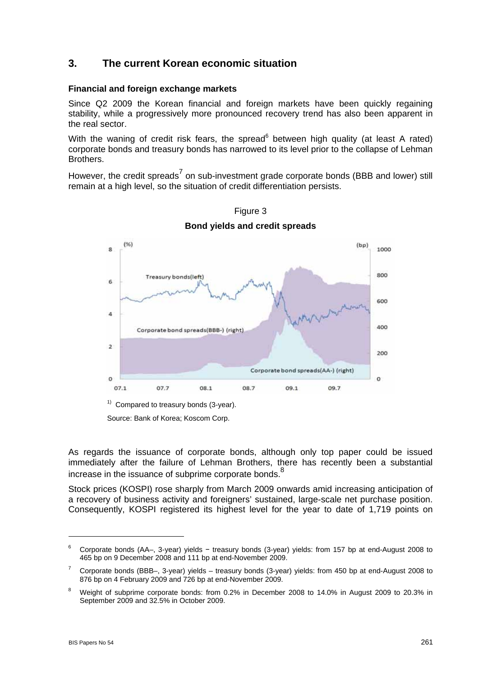## **3. The current Korean economic situation**

#### **Financial and foreign exchange markets**

Since Q2 2009 the Korean financial and foreign markets have been quickly regaining stability, while a progressively more pronounced recovery trend has also been apparent in the real sector.

With the waning of credit risk fears, the spread<sup>6</sup> between high quality (at least A rated) corporate bonds and treasury bonds has narrowed to its level prior to the collapse of Lehman Brothers.

However, the credit spreads<sup>7</sup> on sub-investment grade corporate bonds (BBB and lower) still remain at a high level, so the situation of credit differentiation persists.



Figure 3 **Bond yields and credit spreads**

Source: Bank of Korea; Koscom Corp.

As regards the issuance of corporate bonds, although only top paper could be issued immediately after the failure of Lehman Brothers, there has recently been a substantial increase in the issuance of subprime corporate bonds.<sup>8</sup>

Stock prices (KOSPI) rose sharply from March 2009 onwards amid increasing anticipation of a recovery of business activity and foreigners' sustained, large-scale net purchase position. Consequently, KOSPI registered its highest level for the year to date of 1,719 points on

<sup>6</sup> Corporate bonds (AA–, 3-year) yields − treasury bonds (3-year) yields: from 157 bp at end-August 2008 to 465 bp on 9 December 2008 and 111 bp at end-November 2009.

<sup>7</sup> Corporate bonds (BBB–, 3-year) yields – treasury bonds (3-year) yields: from 450 bp at end-August 2008 to 876 bp on 4 February 2009 and 726 bp at end-November 2009.

<sup>8</sup> Weight of subprime corporate bonds: from 0.2% in December 2008 to 14.0% in August 2009 to 20.3% in September 2009 and 32.5% in October 2009.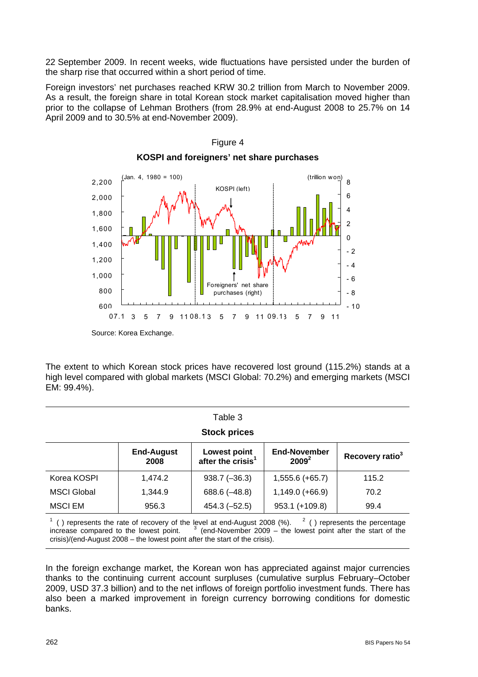22 September 2009. In recent weeks, wide fluctuations have persisted under the burden of the sharp rise that occurred within a short period of time.

Foreign investors' net purchases reached KRW 30.2 trillion from March to November 2009. As a result, the foreign share in total Korean stock market capitalisation moved higher than prior to the collapse of Lehman Brothers (from 28.9% at end-August 2008 to 25.7% on 14 April 2009 and to 30.5% at end-November 2009).



## Figure 4 **KOSPI and foreigners' net share purchases**

The extent to which Korean stock prices have recovered lost ground (115.2%) stands at a high level compared with global markets (MSCI Global: 70.2%) and emerging markets (MSCI EM: 99.4%).

| Table 3             |                           |                                                      |                          |                             |  |  |  |
|---------------------|---------------------------|------------------------------------------------------|--------------------------|-----------------------------|--|--|--|
| <b>Stock prices</b> |                           |                                                      |                          |                             |  |  |  |
|                     | <b>End-August</b><br>2008 | <b>Lowest point</b><br>after the crisis <sup>1</sup> | End-November<br>$2009^2$ | Recovery ratio <sup>3</sup> |  |  |  |
| Korea KOSPI         | 1,474.2                   | $938.7 (-36.3)$                                      | $1,555.6 (+65.7)$        | 115.2                       |  |  |  |
| <b>MSCI Global</b>  | 1,344.9                   | $688.6 (-48.8)$                                      | $1,149.0 (+66.9)$        | 70.2                        |  |  |  |
| <b>MSCI EM</b>      | 956.3                     | $454.3 (-52.5)$                                      | 953.1 (+109.8)           | 99.4                        |  |  |  |

 $1$  () represents the rate of recovery of the level at end-August 2008 (%).  $2$  $2$  ( ) represents the percentage increase compared to the lowest point. (end-November 2009 – the lowest point after the start of the crisis)/(end-August 2008 – the lowest point after the start of the crisis).

In the foreign exchange market, the Korean won has appreciated against major currencies thanks to the continuing current account surpluses (cumulative surplus February–October 2009, USD 37.3 billion) and to the net inflows of foreign portfolio investment funds. There has also been a marked improvement in foreign currency borrowing conditions for domestic banks.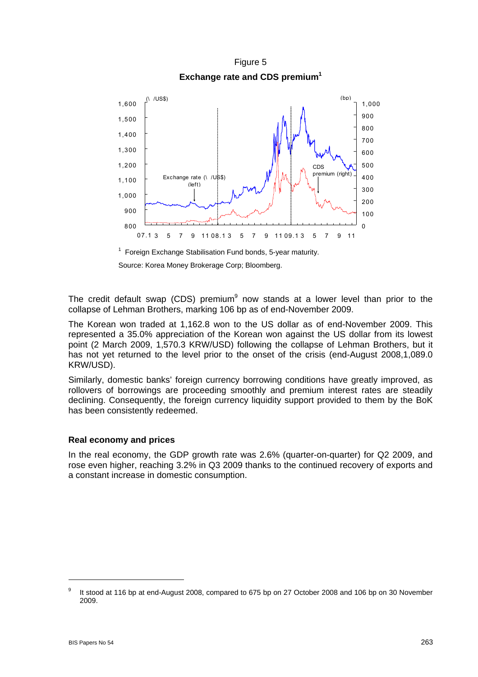Figure 5 **Exchange rate and CDS premium<sup>1</sup>**



<sup>1</sup> Foreign Exchange Stabilisation Fund bonds, 5-year maturity. Source: Korea Money Brokerage Corp; Bloomberg.

The credit default swap (CDS) premium $9$  now stands at a lower level than prior to the collapse of Lehman Brothers, marking 106 bp as of end-November 2009.

The Korean won traded at 1,162.8 won to the US dollar as of end-November 2009. This represented a 35.0% appreciation of the Korean won against the US dollar from its lowest point (2 March 2009, 1,570.3 KRW/USD) following the collapse of Lehman Brothers, but it has not yet returned to the level prior to the onset of the crisis (end-August 2008,1,089.0 KRW/USD).

Similarly, domestic banks' foreign currency borrowing conditions have greatly improved, as rollovers of borrowings are proceeding smoothly and premium interest rates are steadily declining. Consequently, the foreign currency liquidity support provided to them by the BoK has been consistently redeemed.

### **Real economy and prices**

In the real economy, the GDP growth rate was 2.6% (quarter-on-quarter) for Q2 2009, and rose even higher, reaching 3.2% in Q3 2009 thanks to the continued recovery of exports and a constant increase in domestic consumption.

 $\overline{a}$ 

<sup>9</sup> It stood at 116 bp at end-August 2008, compared to 675 bp on 27 October 2008 and 106 bp on 30 November 2009.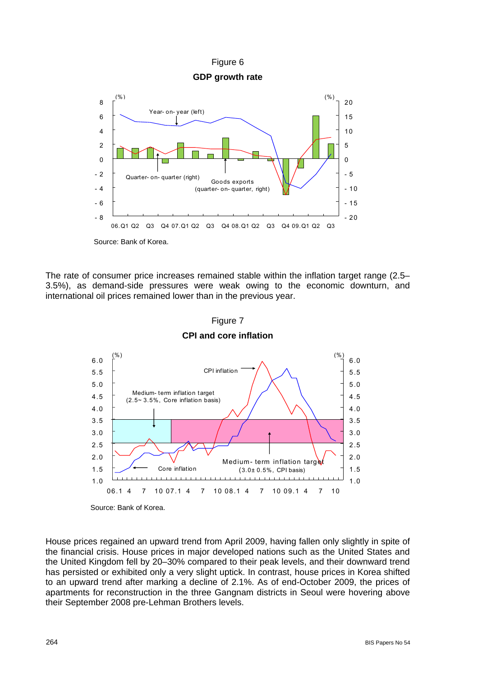

The rate of consumer price increases remained stable within the inflation target range (2.5– 3.5%), as demand-side pressures were weak owing to the economic downturn, and international oil prices remained lower than in the previous year.



Figure 7 **CPI and core inflation** 

House prices regained an upward trend from April 2009, having fallen only slightly in spite of the financial crisis. House prices in major developed nations such as the United States and the United Kingdom fell by 20–30% compared to their peak levels, and their downward trend has persisted or exhibited only a very slight uptick. In contrast, house prices in Korea shifted to an upward trend after marking a decline of 2.1%. As of end-October 2009, the prices of apartments for reconstruction in the three Gangnam districts in Seoul were hovering above their September 2008 pre-Lehman Brothers levels.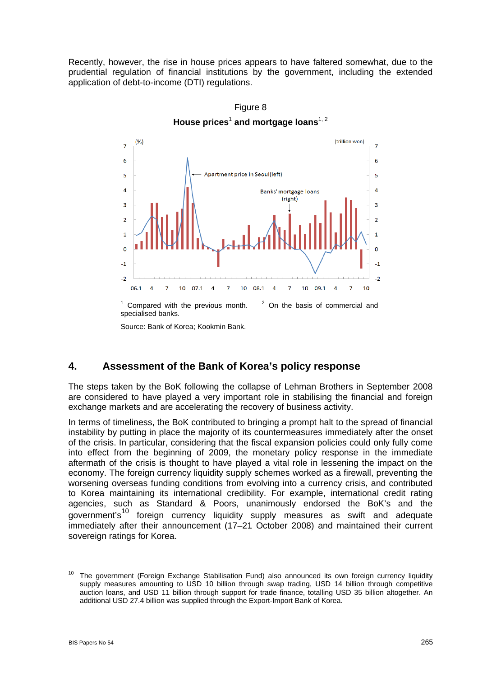Recently, however, the rise in house prices appears to have faltered somewhat, due to the prudential regulation of financial institutions by the government, including the extended application of debt-to-income (DTI) regulations.



Figure 8 **House prices**<sup>1</sup>  **and mortgage loans**1, 2

Source: Bank of Korea; Kookmin Bank.

### **4. Assessment of the Bank of Korea's policy response**

The steps taken by the BoK following the collapse of Lehman Brothers in September 2008 are considered to have played a very important role in stabilising the financial and foreign exchange markets and are accelerating the recovery of business activity.

In terms of timeliness, the BoK contributed to bringing a prompt halt to the spread of financial instability by putting in place the majority of its countermeasures immediately after the onset of the crisis. In particular, considering that the fiscal expansion policies could only fully come into effect from the beginning of 2009, the monetary policy response in the immediate aftermath of the crisis is thought to have played a vital role in lessening the impact on the economy. The foreign currency liquidity supply schemes worked as a firewall, preventing the worsening overseas funding conditions from evolving into a currency crisis, and contributed to Korea maintaining its international credibility. For example, international credit rating agencies, such as Standard & Poors, unanimously endorsed the BoK's and the government's<sup>10</sup> foreign currency liquidity supply measures as swift and adequate immediately after their announcement (17–21 October 2008) and maintained their current sovereign ratings for Korea.

<sup>&</sup>lt;sup>10</sup> The government (Foreign Exchange Stabilisation Fund) also announced its own foreign currency liquidity supply measures amounting to USD 10 billion through swap trading, USD 14 billion through competitive auction loans, and USD 11 billion through support for trade finance, totalling USD 35 billion altogether. An additional USD 27.4 billion was supplied through the Export-Import Bank of Korea.